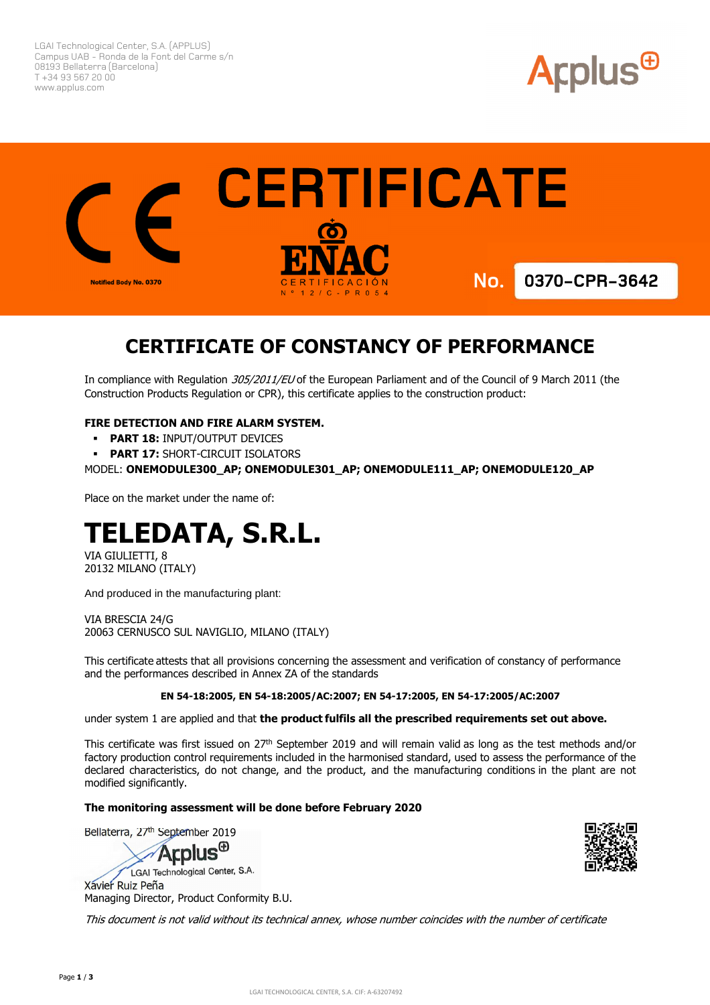LGAI Technological Center, S.A. (APPLUS) Campus UAB - Ronda de la Font del Carme s/n 08193 Bellaterra (Barcelona) T +34 93 567 20 00 www.applus.com





# **CERTIFICATE OF CONSTANCY OF PERFORMANCE**

In compliance with Regulation 305/2011/EU of the European Parliament and of the Council of 9 March 2011 (the Construction Products Regulation or CPR), this certificate applies to the construction product:

## **FIRE DETECTION AND FIRE ALARM SYSTEM.**

- **PART 18: INPUT/OUTPUT DEVICES**
- **PART 17: SHORT-CIRCUIT ISOLATORS**

MODEL: **ONEMODULE300\_AP; ONEMODULE301\_AP; ONEMODULE111\_AP; ONEMODULE120\_AP** 

Place on the market under the name of:

# **TELEDATA, S.R.L.**

VIA GIULIETTI, 8 20132 MILANO (ITALY)

And produced in the manufacturing plant:

VIA BRESCIA 24/G 20063 CERNUSCO SUL NAVIGLIO, MILANO (ITALY)

This certificate attests that all provisions concerning the assessment and verification of constancy of performance and the performances described in Annex ZA of the standards

#### **EN 54-18:2005, EN 54-18:2005/AC:2007; EN 54-17:2005, EN 54-17:2005/AC:2007**

under system 1 are applied and that **the product fulfils all the prescribed requirements set out above.**

This certificate was first issued on 27<sup>th</sup> September 2019 and will remain valid as long as the test methods and/or factory production control requirements included in the harmonised standard, used to assess the performance of the declared characteristics, do not change, and the product, and the manufacturing conditions in the plant are not modified significantly.

#### **The monitoring assessment will be done before February 2020**

Bellaterra, 27<sup>th</sup> September 2019

**Arplus<sup>®</sup>** 

LGAI Technological Center, S.A. Xavier Ruiz Peña Managing Director, Product Conformity B.U.

This document is not valid without its technical annex, whose number coincides with the number of certificate

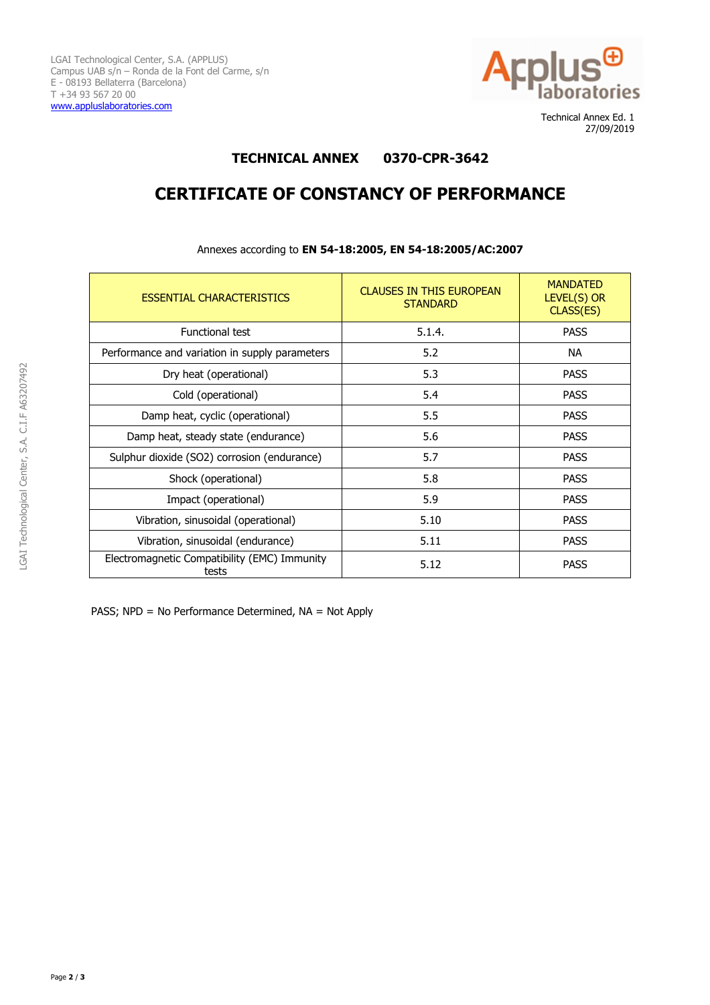

 Technical Annex Ed. 1 27/09/2019

## **TECHNICAL ANNEX 0370-CPR-3642**

# **CERTIFICATE OF CONSTANCY OF PERFORMANCE**

| <b>ESSENTIAL CHARACTERISTICS</b>                      | <b>CLAUSES IN THIS EUROPEAN</b><br><b>STANDARD</b> | <b>MANDATED</b><br>LEVEL(S) OR<br>CLASS(ES) |
|-------------------------------------------------------|----------------------------------------------------|---------------------------------------------|
| <b>Functional test</b>                                | 5.1.4.                                             | <b>PASS</b>                                 |
| Performance and variation in supply parameters        | 5.2                                                | <b>NA</b>                                   |
| Dry heat (operational)                                | 5.3                                                | <b>PASS</b>                                 |
| Cold (operational)                                    | 5.4                                                | <b>PASS</b>                                 |
| Damp heat, cyclic (operational)                       | 5.5                                                | <b>PASS</b>                                 |
| Damp heat, steady state (endurance)                   | 5.6                                                | <b>PASS</b>                                 |
| Sulphur dioxide (SO2) corrosion (endurance)           | 5.7                                                | <b>PASS</b>                                 |
| Shock (operational)                                   | 5.8                                                | <b>PASS</b>                                 |
| Impact (operational)                                  | 5.9                                                | <b>PASS</b>                                 |
| Vibration, sinusoidal (operational)                   | 5.10                                               | <b>PASS</b>                                 |
| Vibration, sinusoidal (endurance)                     | 5.11                                               | <b>PASS</b>                                 |
| Electromagnetic Compatibility (EMC) Immunity<br>tests | 5.12                                               | <b>PASS</b>                                 |

Annexes according to **EN 54-18:2005, EN 54-18:2005/AC:2007** 

PASS; NPD = No Performance Determined, NA = Not Apply